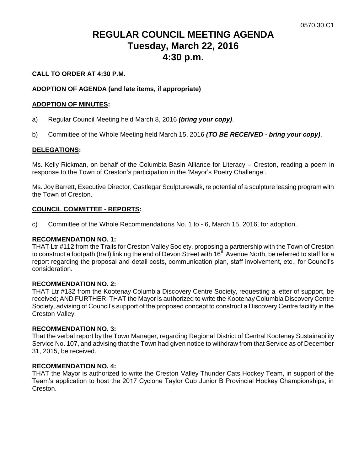# **REGULAR COUNCIL MEETING AGENDA Tuesday, March 22, 2016 4:30 p.m.**

# **CALL TO ORDER AT 4:30 P.M.**

### **ADOPTION OF AGENDA (and late items, if appropriate)**

### **ADOPTION OF MINUTES:**

- a) Regular Council Meeting held March 8, 2016 *(bring your copy)*.
- b) Committee of the Whole Meeting held March 15, 2016 *(TO BE RECEIVED - bring your copy)*.

### **DELEGATIONS:**

Ms. Kelly Rickman, on behalf of the Columbia Basin Alliance for Literacy – Creston, reading a poem in response to the Town of Creston's participation in the 'Mayor's Poetry Challenge'.

Ms. Joy Barrett, Executive Director, Castlegar Sculpturewalk, re potential of a sculpture leasing program with the Town of Creston.

### **COUNCIL COMMITTEE - REPORTS:**

c) Committee of the Whole Recommendations No. 1 to - 6, March 15, 2016, for adoption.

### **RECOMMENDATION NO. 1:**

THAT Ltr #112 from the Trails for Creston Valley Society, proposing a partnership with the Town of Creston to construct a footpath (trail) linking the end of Devon Street with 16<sup>th</sup> Avenue North, be referred to staff for a report regarding the proposal and detail costs, communication plan, staff involvement, etc., for Council's consideration.

### **RECOMMENDATION NO. 2:**

THAT Ltr #132 from the Kootenay Columbia Discovery Centre Society, requesting a letter of support, be received; AND FURTHER, THAT the Mayor is authorized to write the Kootenay Columbia Discovery Centre Society, advising of Council's support of the proposed concept to construct a Discovery Centre facility in the Creston Valley.

### **RECOMMENDATION NO. 3:**

That the verbal report by the Town Manager, regarding Regional District of Central Kootenay Sustainability Service No. 107, and advising that the Town had given notice to withdraw from that Service as of December 31, 2015, be received.

### **RECOMMENDATION NO. 4:**

THAT the Mayor is authorized to write the Creston Valley Thunder Cats Hockey Team, in support of the Team's application to host the 2017 Cyclone Taylor Cub Junior B Provincial Hockey Championships, in Creston.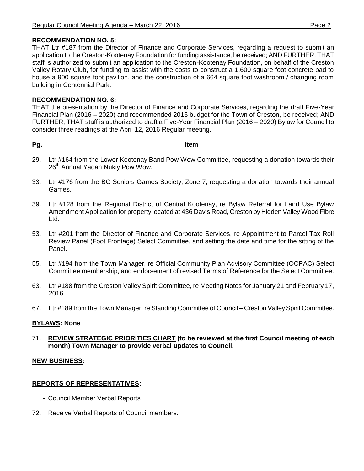# **RECOMMENDATION NO. 5:**

THAT Ltr #187 from the Director of Finance and Corporate Services, regarding a request to submit an application to the Creston-Kootenay Foundation for funding assistance, be received; AND FURTHER, THAT staff is authorized to submit an application to the Creston-Kootenay Foundation, on behalf of the Creston Valley Rotary Club, for funding to assist with the costs to construct a 1,600 square foot concrete pad to house a 900 square foot pavilion, and the construction of a 664 square foot washroom / changing room building in Centennial Park.

# **RECOMMENDATION NO. 6:**

THAT the presentation by the Director of Finance and Corporate Services, regarding the draft Five-Year Financial Plan (2016 – 2020) and recommended 2016 budget for the Town of Creston, be received; AND FURTHER, THAT staff is authorized to draft a Five-Year Financial Plan (2016 – 2020) Bylaw for Council to consider three readings at the April 12, 2016 Regular meeting.

### **Pg. Item**

- 29. Ltr #164 from the Lower Kootenay Band Pow Wow Committee, requesting a donation towards their 26<sup>th</sup> Annual Yaqan Nukiy Pow Wow.
- 33. Ltr #176 from the BC Seniors Games Society, Zone 7, requesting a donation towards their annual Games.
- 39. Ltr #128 from the Regional District of Central Kootenay, re Bylaw Referral for Land Use Bylaw Amendment Application for property located at 436 Davis Road, Creston by Hidden Valley Wood Fibre Ltd.
- 53. Ltr #201 from the Director of Finance and Corporate Services, re Appointment to Parcel Tax Roll Review Panel (Foot Frontage) Select Committee, and setting the date and time for the sitting of the Panel.
- 55. Ltr #194 from the Town Manager, re Official Community Plan Advisory Committee (OCPAC) Select Committee membership, and endorsement of revised Terms of Reference for the Select Committee.
- 63. Ltr #188 from the Creston Valley Spirit Committee, re Meeting Notes for January 21 and February 17, 2016.
- 67. Ltr #189 from the Town Manager, re Standing Committee of Council Creston Valley Spirit Committee.

# **BYLAWS: None**

71. **REVIEW STRATEGIC PRIORITIES CHART (to be reviewed at the first Council meeting of each month) Town Manager to provide verbal updates to Council.**

### **NEW BUSINESS:**

# **REPORTS OF REPRESENTATIVES:**

- Council Member Verbal Reports
- 72. Receive Verbal Reports of Council members.